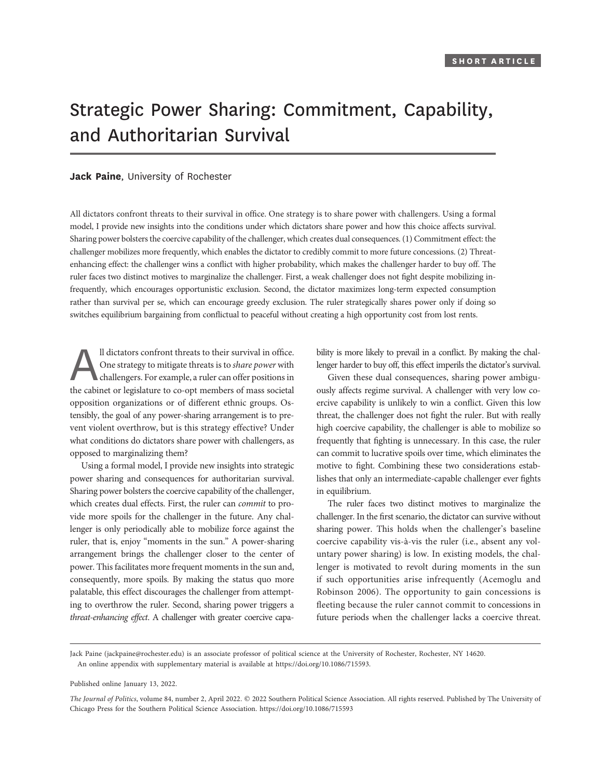# Strategic Power Sharing: Commitment, Capability, and Authoritarian Survival

### Jack Paine, University of Rochester

All dictators confront threats to their survival in office. One strategy is to share power with challengers. Using a formal model, I provide new insights into the conditions under which dictators share power and how this choice affects survival. Sharing power bolsters the coercive capability of the challenger, which creates dual consequences. (1) Commitment effect: the challenger mobilizes more frequently, which enables the dictator to credibly commit to more future concessions. (2) Threatenhancing effect: the challenger wins a conflict with higher probability, which makes the challenger harder to buy off. The ruler faces two distinct motives to marginalize the challenger. First, a weak challenger does not fight despite mobilizing infrequently, which encourages opportunistic exclusion. Second, the dictator maximizes long-term expected consumption rather than survival per se, which can encourage greedy exclusion. The ruler strategically shares power only if doing so switches equilibrium bargaining from conflictual to peaceful without creating a high opportunity cost from lost rents.

All dictators confront threats to their survival in office. One strategy to mitigate threats is to share power with challengers. For example, a ruler can offer positions in the cabinet or legislature to co-opt members of mass societal opposition organizations or of different ethnic groups. Ostensibly, the goal of any power-sharing arrangement is to prevent violent overthrow, but is this strategy effective? Under what conditions do dictators share power with challengers, as opposed to marginalizing them?

Using a formal model, I provide new insights into strategic power sharing and consequences for authoritarian survival. Sharing power bolsters the coercive capability of the challenger, which creates dual effects. First, the ruler can commit to provide more spoils for the challenger in the future. Any challenger is only periodically able to mobilize force against the ruler, that is, enjoy "moments in the sun." A power-sharing arrangement brings the challenger closer to the center of power. This facilitates more frequent moments in the sun and, consequently, more spoils. By making the status quo more palatable, this effect discourages the challenger from attempting to overthrow the ruler. Second, sharing power triggers a threat-enhancing effect. A challenger with greater coercive capability is more likely to prevail in a conflict. By making the challenger harder to buy off, this effect imperils the dictator's survival.

Given these dual consequences, sharing power ambiguously affects regime survival. A challenger with very low coercive capability is unlikely to win a conflict. Given this low threat, the challenger does not fight the ruler. But with really high coercive capability, the challenger is able to mobilize so frequently that fighting is unnecessary. In this case, the ruler can commit to lucrative spoils over time, which eliminates the motive to fight. Combining these two considerations establishes that only an intermediate-capable challenger ever fights in equilibrium.

The ruler faces two distinct motives to marginalize the challenger. In the first scenario, the dictator can survive without sharing power. This holds when the challenger's baseline coercive capability vis-à-vis the ruler (i.e., absent any voluntary power sharing) is low. In existing models, the challenger is motivated to revolt during moments in the sun if such opportunities arise infrequently (Acemoglu and Robinson 2006). The opportunity to gain concessions is fleeting because the ruler cannot commit to concessions in future periods when the challenger lacks a coercive threat.

Published online January 13, 2022.

Jack Paine ([jackpaine@rochester.edu\)](mailto:jackpaine@rochester.edu) is an associate professor of political science at the University of Rochester, Rochester, NY 14620. An online appendix with supplementary material is available at<https://doi.org/10.1086/715593>.

The Journal of Politics, volume 84, number 2, April 2022. © 2022 Southern Political Science Association. All rights reserved. Published by The University of Chicago Press for the Southern Political Science Association. https://doi.org/10.1086/715593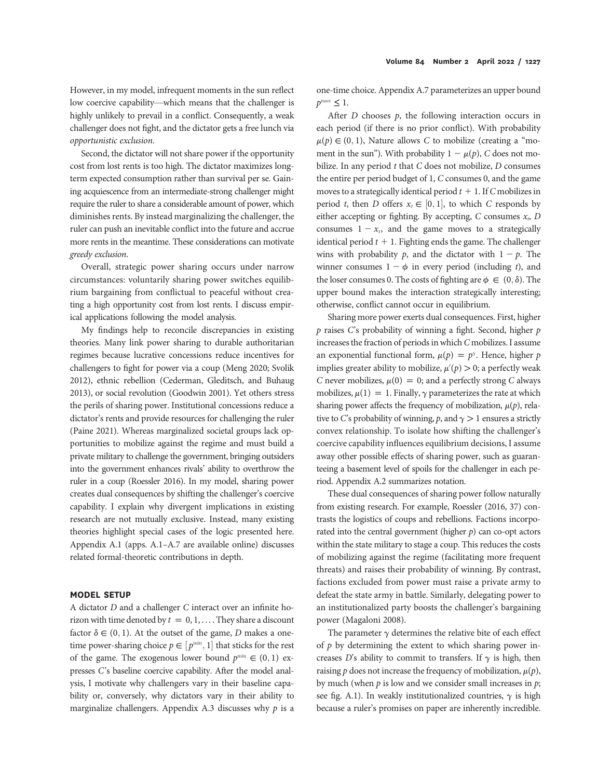However, in my model, infrequent moments in the sun reflect low coercive capability—which means that the challenger is highly unlikely to prevail in a conflict. Consequently, a weak challenger does not fight, and the dictator gets a free lunch via opportunistic exclusion.

Second, the dictator will not share power if the opportunity cost from lost rents is too high. The dictator maximizes longterm expected consumption rather than survival per se. Gaining acquiescence from an intermediate-strong challenger might require the ruler to share a considerable amount of power, which diminishes rents. By instead marginalizing the challenger, the ruler can push an inevitable conflict into the future and accrue more rents in the meantime. These considerations can motivate greedy exclusion.

Overall, strategic power sharing occurs under narrow circumstances: voluntarily sharing power switches equilibrium bargaining from conflictual to peaceful without creating a high opportunity cost from lost rents. I discuss empirical applications following the model analysis.

My findings help to reconcile discrepancies in existing theories. Many link power sharing to durable authoritarian regimes because lucrative concessions reduce incentives for challengers to fight for power via a coup (Meng 2020; Svolik 2012), ethnic rebellion (Cederman, Gleditsch, and Buhaug 2013), or social revolution (Goodwin 2001). Yet others stress the perils of sharing power. Institutional concessions reduce a dictator's rents and provide resources for challenging the ruler (Paine 2021). Whereas marginalized societal groups lack opportunities to mobilize against the regime and must build a private military to challenge the government, bringing outsiders into the government enhances rivals' ability to overthrow the ruler in a coup (Roessler 2016). In my model, sharing power creates dual consequences by shifting the challenger's coercive capability. I explain why divergent implications in existing research are not mutually exclusive. Instead, many existing theories highlight special cases of the logic presented here. Appendix A.1 (apps. A.1–A.7 are available online) discusses related formal-theoretic contributions in depth.

### **MODEL SETUP**

A dictator  $D$  and a challenger  $C$  interact over an infinite horizon with time denoted by  $t = 0, 1, \dots$ . They share a discount factor  $\delta \in (0, 1)$ . At the outset of the game, D makes a onetime power-sharing choice  $p \in [p^{\min}, 1]$  that sticks for the rest<br>of the game. The grossmous lower hound  $\epsilon^{\min} \in (0, 1)$  and of the game. The exogenous lower bound  $p^{\min} \in (0, 1)$  expresses C's baseline coercive capability. After the model analysis, I motivate why challengers vary in their baseline capability or, conversely, why dictators vary in their ability to marginalize challengers. Appendix A.3 discusses why  $p$  is a

one-time choice. Appendix A.7 parameterizes an upper bound  $p^{\max} \leq 1$ .

After  $D$  chooses  $p$ , the following interaction occurs in each period (if there is no prior conflict). With probability  $\mu(p) \in (0, 1)$ , Nature allows C to mobilize (creating a "moment in the sun"). With probability  $1 - \mu(p)$ , C does not mobilize. In any period  $t$  that  $C$  does not mobilize,  $D$  consumes the entire per period budget of 1, C consumes 0, and the game moves to a strategically identical period  $t + 1$ . If C mobilizes in period t, then D offers  $x_t \in [0,1]$ , to which C responds by<br>sither accounting or fighting. By accounting C consumers  $\mu$ , D either accepting or fighting. By accepting, C consumes  $x<sub>b</sub>$  D consumes  $1 - x_t$ , and the game moves to a strategically identical period  $t + 1$ . Fighting ends the game. The challenger wins with probability p, and the dictator with  $1 - p$ . The winner consumes  $1 - \phi$  in every period (including t), and the loser consumes 0. The costs of fighting are  $\phi \in (0, \delta)$ . The upper bound makes the interaction strategically interesting; otherwise, conflict cannot occur in equilibrium.

Sharing more power exerts dual consequences. First, higher  $p$  raises C's probability of winning a fight. Second, higher  $p$ increases the fraction of periods in which C mobilizes. I assume an exponential functional form,  $\mu(p) = p^{\gamma}$ . Hence, higher p implies greater ability to mobilize,  $\mu'(p) > 0$ ; a perfectly weak C never mobilizes,  $\mu(0) = 0$ ; and a perfectly strong C always mobilizes,  $\mu(1) = 1$ . Finally,  $\gamma$  parameterizes the rate at which sharing power affects the frequency of mobilization,  $\mu(p)$ , relative to C's probability of winning, p, and  $\gamma > 1$  ensures a strictly convex relationship. To isolate how shifting the challenger's coercive capability influences equilibrium decisions, I assume away other possible effects of sharing power, such as guaranteeing a basement level of spoils for the challenger in each period. Appendix A.2 summarizes notation.

These dual consequences of sharing power follow naturally from existing research. For example, Roessler (2016, 37) contrasts the logistics of coups and rebellions. Factions incorporated into the central government (higher  $p$ ) can co-opt actors within the state military to stage a coup. This reduces the costs of mobilizing against the regime (facilitating more frequent threats) and raises their probability of winning. By contrast, factions excluded from power must raise a private army to defeat the state army in battle. Similarly, delegating power to an institutionalized party boosts the challenger's bargaining power (Magaloni 2008).

The parameter  $\gamma$  determines the relative bite of each effect of  $p$  by determining the extent to which sharing power increases D's ability to commit to transfers. If  $\gamma$  is high, then raising  $p$  does not increase the frequency of mobilization,  $\mu(p)$ , by much (when  $p$  is low and we consider small increases in  $p$ ; see fig. A.1). In weakly institutionalized countries,  $\gamma$  is high because a ruler's promises on paper are inherently incredible.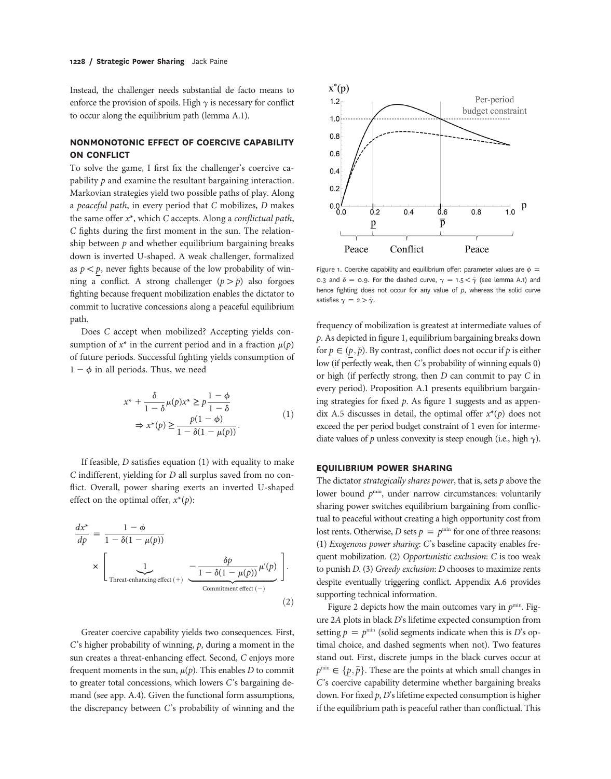Instead, the challenger needs substantial de facto means to enforce the provision of spoils. High  $\gamma$  is necessary for conflict to occur along the equilibrium path (lemma A.1).

## NONMONOTONIC EFFECT OF COERCIVE CAPABILITY ON CONFLICT

To solve the game, I first fix the challenger's coercive capability p and examine the resultant bargaining interaction. Markovian strategies yield two possible paths of play. Along a peaceful path, in every period that C mobilizes, D makes the same offer  $x^*$ , which C accepts. Along a conflictual path, C fights during the first moment in the sun. The relationship between  $p$  and whether equilibrium bargaining breaks down is inverted U-shaped. A weak challenger, formalized as  $p < p$ , never fights because of the low probability of winning a conflict. A strong challenger  $(p > \bar{p})$  also forgoes fighting because frequent mobilization enables the dictator to commit to lucrative concessions along a peaceful equilibrium path.

Does C accept when mobilized? Accepting yields consumption of  $x^*$  in the current period and in a fraction  $\mu(p)$ of future periods. Successful fighting yields consumption of  $1 - \phi$  in all periods. Thus, we need

$$
x^* + \frac{\delta}{1-\delta} \mu(p)x^* \ge p \frac{1-\phi}{1-\delta}
$$
  
\n
$$
\Rightarrow x^*(p) \ge \frac{p(1-\phi)}{1-\delta(1-\mu(p))}.
$$
\n(1)

If feasible,  $D$  satisfies equation  $(1)$  with equality to make C indifferent, yielding for D all surplus saved from no conflict. Overall, power sharing exerts an inverted U-shaped effect on the optimal offer,  $x^*(p)$ :

$$
\frac{dx^*}{dp} = \frac{1 - \phi}{1 - \delta(1 - \mu(p))}
$$
\n
$$
\times \left[ \underbrace{1}_{\text{Thread-enhancing effect (+)}} - \underbrace{-\frac{\delta p}{1 - \delta(1 - \mu(p))} \mu'(p)}_{\text{Commitment effect (-)}} \right].
$$
\n(2)

Greater coercive capability yields two consequences. First,  $C$ 's higher probability of winning,  $p$ , during a moment in the sun creates a threat-enhancing effect. Second, C enjoys more frequent moments in the sun,  $\mu(p)$ . This enables D to commit to greater total concessions, which lowers C's bargaining demand (see app. A.4). Given the functional form assumptions, the discrepancy between C's probability of winning and the



Figure 1. Coercive capability and equilibrium offer: parameter values are  $\phi =$ 0.3 and  $\delta$  = 0.9. For the dashed curve,  $\gamma = 1.5 < \hat{\gamma}$  (see lemma A.1) and hence fighting does not occur for any value of  $p$ , whereas the solid curve satisfies  $\gamma = 2 > \hat{\gamma}$ .

frequency of mobilization is greatest at intermediate values of p. As depicted in figure 1, equilibrium bargaining breaks down for  $p \in (p, \bar{p})$ . By contrast, conflict does not occur if p is either low (if perfectly weak, then C's probability of winning equals 0) or high (if perfectly strong, then D can commit to pay C in every period). Proposition A.1 presents equilibrium bargaining strategies for fixed  $p$ . As figure 1 suggests and as appendix A.5 discusses in detail, the optimal offer  $x^*(p)$  does not exceed the per period budget constraint of 1 even for intermediate values of p unless convexity is steep enough (i.e., high  $\gamma$ ).

The dictator *strategically shares power*, that is, sets *p* above the lower bound  $p^{\min}$ , under narrow circumstances: voluntarily sharing power switches equilibrium bargaining from conflictual to peaceful without creating a high opportunity cost from lost rents. Otherwise, D sets  $p = p^{\min}$  for one of three reasons: (1) Exogenous power sharing: C's baseline capacity enables frequent mobilization. (2) Opportunistic exclusion: C is too weak to punish D. (3) Greedy exclusion: D chooses to maximize rents despite eventually triggering conflict. Appendix A.6 provides supporting technical information.

Figure 2 depicts how the main outcomes vary in  $p^{\min}$ . Figure 2A plots in black D's lifetime expected consumption from setting  $p = p^{\min}$  (solid segments indicate when this is D's optimal choice, and dashed segments when not). Two features stand out. First, discrete jumps in the black curves occur at  $p^{\min} \in \{p, \bar{p}\}.$  These are the points at which small changes in  $C_i$  as a small constituted determines whether have since knowledge C's coercive capability determine whether bargaining breaks down. For fixed p, D's lifetime expected consumption is higher if the equilibrium path is peaceful rather than conflictual. This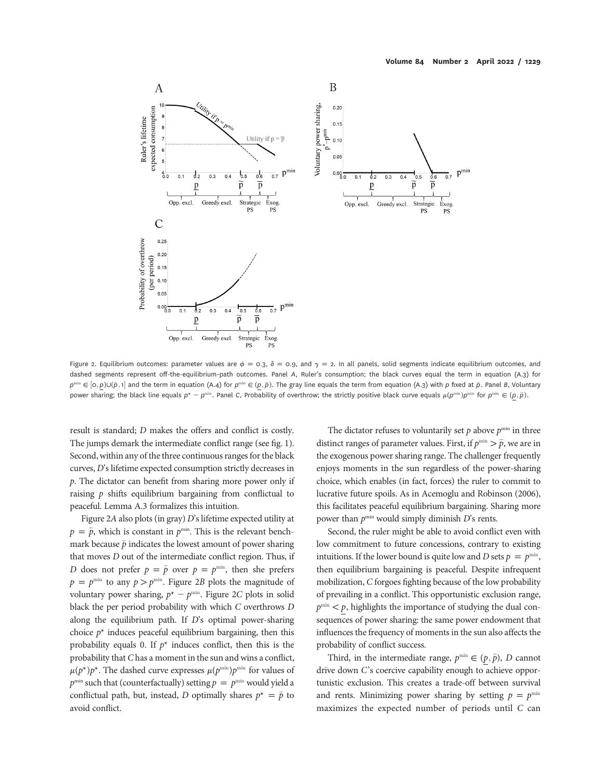

Figure 2. Equilibrium outcomes: parameter values are  $\phi = 0.3$ ,  $\delta = 0.9$ , and  $\gamma = 2$ . In all panels, solid segments indicate equilibrium outcomes, and dashed segments represent off-the-equilibrium-path outcomes. Panel A, Ruler's consumption; the black curves equal the term in equation (A.3) for  $p^{\min} \in [0, p] \cup (\bar{p}, 1]$  and the term in equation (A.4) for  $p^{\min} \in (p, \bar{p})$ . The gray line equals the term from equation (A.3) with p fixed at  $\bar{p}$ . Panel B, Voluntary<br>power shoring the block line equals e\* all Papel power sharing; the black line equals  $p^* - p^{\min}$ . Panel C, Probability of overthrow; the strictly positive black curve equals  $\mu(p^{\min})p^{\min}$  for  $p^{\min} \in (p, \bar{p})$ .

result is standard; D makes the offers and conflict is costly. The jumps demark the intermediate conflict range (see fig. 1). Second, within any of the three continuous ranges for the black curves, D's lifetime expected consumption strictly decreases in p. The dictator can benefit from sharing more power only if raising  $p$  shifts equilibrium bargaining from conflictual to peaceful. Lemma A.3 formalizes this intuition.

Figure 2A also plots (in gray) D's lifetime expected utility at  $p = \bar{p}$ , which is constant in  $p^{\min}$ . This is the relevant benchmark because  $\bar{p}$  indicates the lowest amount of power sharing that moves D out of the intermediate conflict region. Thus, if D does not prefer  $p = \bar{p}$  over  $p = p^{\min}$ , then she prefers  $p = p^{\min}$  to any  $p > p^{\min}$ . Figure 2B plots the magnitude of voluntary power sharing,  $p^* - p^{\min}$ . Figure 2C plots in solid black the per period probability with which C overthrows D along the equilibrium path. If  $D$ 's optimal power-sharing choice  $p^*$  induces peaceful equilibrium bargaining, then this probability equals 0. If  $p^*$  induces conflict, then this is the probability that C has a moment in the sun and wins a conflict,  $\mu(p^*)p^*$ . The dashed curve expresses  $\mu(p^{\min})p^{\min}$  for values of  $p^{\min}$  such that (counterfactually) setting  $p = p^{\min}$  would yield a conflictual path, but, instead, D optimally shares  $p^* = \bar{p}$  to avoid conflict.

The dictator refuses to voluntarily set  $p$  above  $p^{\min}$  in three distinct ranges of parameter values. First, if  $p^{\min} > \bar{p}$ , we are in the exogenous power sharing range. The challenger frequently enjoys moments in the sun regardless of the power-sharing choice, which enables (in fact, forces) the ruler to commit to lucrative future spoils. As in Acemoglu and Robinson (2006), this facilitates peaceful equilibrium bargaining. Sharing more power than  $p^{\min}$  would simply diminish D's rents.

Second, the ruler might be able to avoid conflict even with low commitment to future concessions, contrary to existing intuitions. If the lower bound is quite low and D sets  $p = p^{\min}$ , then equilibrium bargaining is peaceful. Despite infrequent mobilization, C forgoes fighting because of the low probability of prevailing in a conflict. This opportunistic exclusion range,  $p^{\min}$  < p, highlights the importance of studying the dual consequences of power sharing: the same power endowment that influences the frequency of moments in the sun also affects the probability of conflict success.

Third, in the intermediate range,  $p^{\min} \in (p, \bar{p})$ , D cannot drive down C's coercive capability enough to achieve opportunistic exclusion. This creates a trade-off between survival and rents. Minimizing power sharing by setting  $p = p^{\min}$ maximizes the expected number of periods until C can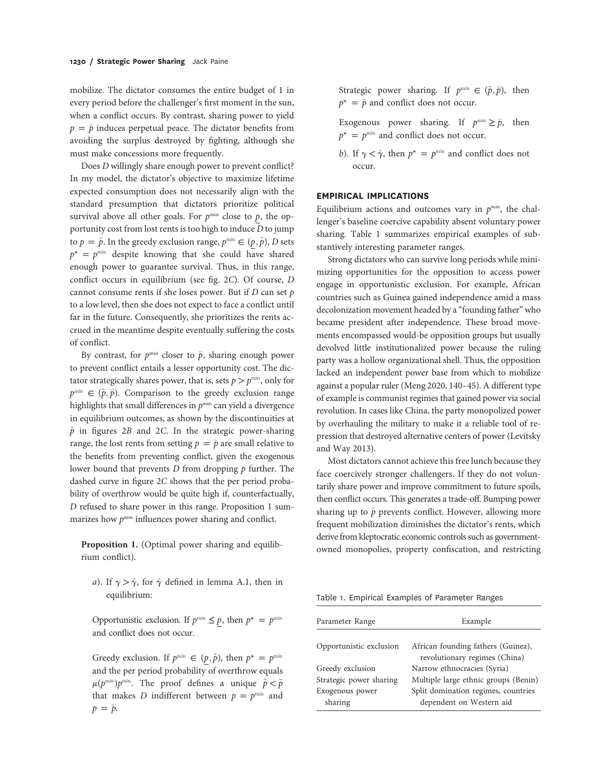mobilize. The dictator consumes the entire budget of 1 in every period before the challenger's first moment in the sun, when a conflict occurs. By contrast, sharing power to yield  $p = \bar{p}$  induces perpetual peace. The dictator benefits from avoiding the surplus destroyed by fighting, although she must make concessions more frequently.

Does D willingly share enough power to prevent conflict? In my model, the dictator's objective to maximize lifetime expected consumption does not necessarily align with the standard presumption that dictators prioritize political survival above all other goals. For  $p^{\min}$  close to p, the opportunity cost from lost rents is too high to induce  $\overline{D}$  to jump to  $p = \bar{p}$ . In the greedy exclusion range,  $p^{\min} \in (p, \tilde{p})$ , D sets  $p^* = p^{\min}$  despite knowing that she could have shared enough power to guarantee survival. Thus, in this range, conflict occurs in equilibrium (see fig. 2C). Of course, D cannot consume rents if she loses power. But if  $D$  can set  $p$ to a low level, then she does not expect to face a conflict until far in the future. Consequently, she prioritizes the rents accrued in the meantime despite eventually suffering the costs of conflict.

By contrast, for  $p^{\min}$  closer to  $\bar{p}$ , sharing enough power to prevent conflict entails a lesser opportunity cost. The dictator strategically shares power, that is, sets  $p > p^{\min}$ , only for  $p^{\min} \in (\tilde{p}, \bar{p})$ . Comparison to the greedy exclusion range highlights that small differences in  $p^{min}$  can yield a divergence in equilibrium outcomes, as shown by the discontinuities at  $\tilde{p}$  in figures 2B and 2C. In the strategic power-sharing range, the lost rents from setting  $p = \bar{p}$  are small relative to the benefits from preventing conflict, given the exogenous lower bound that prevents  $D$  from dropping  $p$  further. The dashed curve in figure 2C shows that the per period probability of overthrow would be quite high if, counterfactually, D refused to share power in this range. Proposition 1 summarizes how  $p^{\min}$  influences power sharing and conflict.

Proposition 1. (Optimal power sharing and equilibrium conflict).

a). If  $\gamma > \hat{\gamma}$ , for  $\hat{\gamma}$  defined in lemma A.1, then in equilibrium:

Opportunistic exclusion. If  $p^{\min} \leq p$ , then  $p^* = p^{\min}$ and conflict does not occur.

Greedy exclusion. If  $p^{\min} \in (p, \tilde{p})$ , then  $p^* = p^{\min}$ and the per period probability of overthrow equals  $\mu(p^{\min})p^{\min}$ . The proof defines a unique  $\tilde{p} < \bar{p}$ that makes D indifferent between  $p = p^{\min}$  and  $p = \bar{p}$ .

Strategic power sharing. If  $p^{\min} \in (\tilde{p}, \bar{p})$ , then  $p^* = \bar{p}$  and conflict does not occur.

Exogenous power sharing. If  $p^{\min} \ge \bar{p}$ , then  $p^* = p^{\min}$  and conflict does not occur.

b). If  $\gamma < \hat{\gamma}$ , then  $p^* = p^{\min}$  and conflict does not occur.

Equilibrium actions and outcomes vary in  $p^{\text{min}}$ , the challenger's baseline coercive capability absent voluntary power sharing. Table 1 summarizes empirical examples of substantively interesting parameter ranges.

Strong dictators who can survive long periods while minimizing opportunities for the opposition to access power engage in opportunistic exclusion. For example, African countries such as Guinea gained independence amid a mass decolonization movement headed by a "founding father" who became president after independence. These broad movements encompassed would-be opposition groups but usually devolved little institutionalized power because the ruling party was a hollow organizational shell. Thus, the opposition lacked an independent power base from which to mobilize against a popular ruler (Meng 2020, 140–45). A different type of example is communist regimes that gained power via social revolution. In cases like China, the party monopolized power by overhauling the military to make it a reliable tool of repression that destroyed alternative centers of power (Levitsky and Way 2013).

Most dictators cannot achieve this free lunch because they face coercively stronger challengers. If they do not voluntarily share power and improve commitment to future spoils, then conflict occurs. This generates a trade-off. Bumping power sharing up to  $\bar{p}$  prevents conflict. However, allowing more frequent mobilization diminishes the dictator's rents, which derive from kleptocratic economic controls such as governmentowned monopolies, property confiscation, and restricting

Table 1. Empirical Examples of Parameter Ranges

| Parameter Range         | Example                                                             |
|-------------------------|---------------------------------------------------------------------|
| Opportunistic exclusion | African founding fathers (Guinea),<br>revolutionary regimes (China) |
| Greedy exclusion        | Narrow ethnocracies (Syria)                                         |
| Strategic power sharing | Multiple large ethnic groups (Benin)                                |
| Exogenous power         | Split domination regimes, countries                                 |
| sharing                 | dependent on Western aid                                            |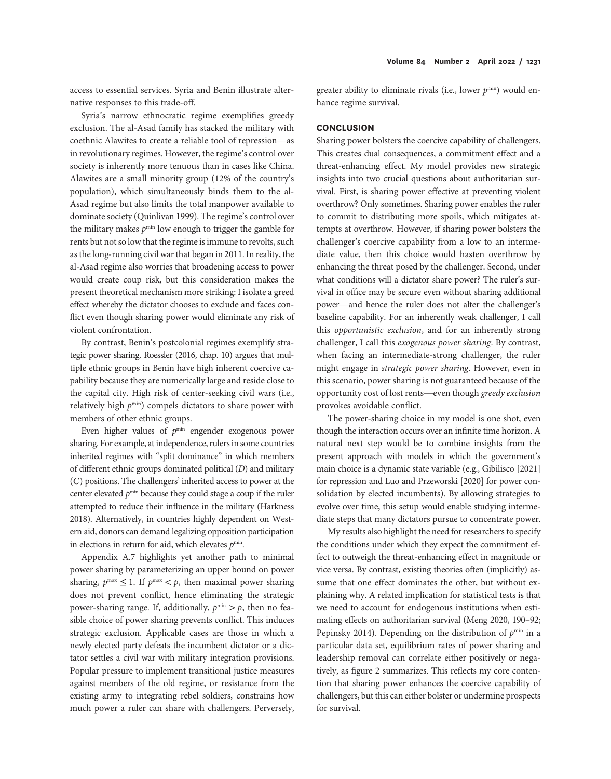access to essential services. Syria and Benin illustrate alternative responses to this trade-off.

Syria's narrow ethnocratic regime exemplifies greedy exclusion. The al-Asad family has stacked the military with coethnic Alawites to create a reliable tool of repression—as in revolutionary regimes. However, the regime's control over society is inherently more tenuous than in cases like China. Alawites are a small minority group (12% of the country's population), which simultaneously binds them to the al-Asad regime but also limits the total manpower available to dominate society (Quinlivan 1999). The regime's control over the military makes  $p^{\min}$  low enough to trigger the gamble for rents but not so low that the regime is immune to revolts, such as the long-running civil war that began in 2011. In reality, the al-Asad regime also worries that broadening access to power would create coup risk, but this consideration makes the present theoretical mechanism more striking: I isolate a greed effect whereby the dictator chooses to exclude and faces conflict even though sharing power would eliminate any risk of violent confrontation.

By contrast, Benin's postcolonial regimes exemplify strategic power sharing. Roessler (2016, chap. 10) argues that multiple ethnic groups in Benin have high inherent coercive capability because they are numerically large and reside close to the capital city. High risk of center-seeking civil wars (i.e., relatively high  $p^{min}$ ) compels dictators to share power with members of other ethnic groups.

Even higher values of  $p^{min}$  engender exogenous power sharing. For example, at independence, rulers in some countries inherited regimes with "split dominance" in which members of different ethnic groups dominated political (D) and military (C) positions. The challengers' inherited access to power at the center elevated  $p^{\min}$  because they could stage a coup if the ruler attempted to reduce their influence in the military (Harkness 2018). Alternatively, in countries highly dependent on Western aid, donors can demand legalizing opposition participation in elections in return for aid, which elevates  $p^{\min}$ .

Appendix A.7 highlights yet another path to minimal power sharing by parameterizing an upper bound on power sharing,  $p^{\max} \leq 1$ . If  $p^{\max} < \bar{p}$ , then maximal power sharing does not prevent conflict, hence eliminating the strategic power-sharing range. If, additionally,  $p^{\min} > p$ , then no feasible choice of power sharing prevents conflict. This induces strategic exclusion. Applicable cases are those in which a newly elected party defeats the incumbent dictator or a dictator settles a civil war with military integration provisions. Popular pressure to implement transitional justice measures against members of the old regime, or resistance from the existing army to integrating rebel soldiers, constrains how much power a ruler can share with challengers. Perversely,

greater ability to eliminate rivals (i.e., lower  $p^{\min}$ ) would enhance regime survival.

### **CONCLUSION**

Sharing power bolsters the coercive capability of challengers. This creates dual consequences, a commitment effect and a threat-enhancing effect. My model provides new strategic insights into two crucial questions about authoritarian survival. First, is sharing power effective at preventing violent overthrow? Only sometimes. Sharing power enables the ruler to commit to distributing more spoils, which mitigates attempts at overthrow. However, if sharing power bolsters the challenger's coercive capability from a low to an intermediate value, then this choice would hasten overthrow by enhancing the threat posed by the challenger. Second, under what conditions will a dictator share power? The ruler's survival in office may be secure even without sharing additional power—and hence the ruler does not alter the challenger's baseline capability. For an inherently weak challenger, I call this opportunistic exclusion, and for an inherently strong challenger, I call this exogenous power sharing. By contrast, when facing an intermediate-strong challenger, the ruler might engage in strategic power sharing. However, even in this scenario, power sharing is not guaranteed because of the opportunity cost of lost rents—even though greedy exclusion provokes avoidable conflict.

The power-sharing choice in my model is one shot, even though the interaction occurs over an infinite time horizon. A natural next step would be to combine insights from the present approach with models in which the government's main choice is a dynamic state variable (e.g., Gibilisco [2021] for repression and Luo and Przeworski [2020] for power consolidation by elected incumbents). By allowing strategies to evolve over time, this setup would enable studying intermediate steps that many dictators pursue to concentrate power.

My results also highlight the need for researchers to specify the conditions under which they expect the commitment effect to outweigh the threat-enhancing effect in magnitude or vice versa. By contrast, existing theories often (implicitly) assume that one effect dominates the other, but without explaining why. A related implication for statistical tests is that we need to account for endogenous institutions when estimating effects on authoritarian survival (Meng 2020, 190–92; Pepinsky 2014). Depending on the distribution of  $p^{\min}$  in a particular data set, equilibrium rates of power sharing and leadership removal can correlate either positively or negatively, as figure 2 summarizes. This reflects my core contention that sharing power enhances the coercive capability of challengers, but this can either bolster or undermine prospects for survival.